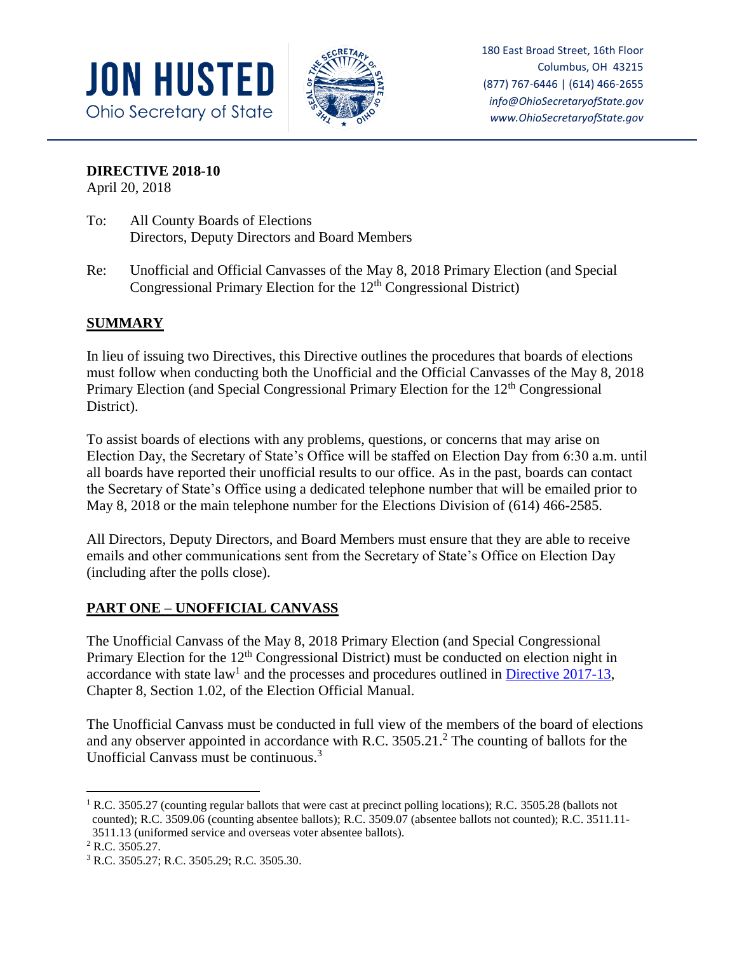



180 East Broad Street, 16th Floor Columbus, OH 43215 (877) 767-6446 | (614) 466-2655 *info@OhioSecretaryofState.gov www.OhioSecretaryofState.gov*

# **DIRECTIVE 2018-10**

April 20, 2018

- To: All County Boards of Elections Directors, Deputy Directors and Board Members
- Re: Unofficial and Official Canvasses of the May 8, 2018 Primary Election (and Special Congressional Primary Election for the 12<sup>th</sup> Congressional District)

# **SUMMARY**

In lieu of issuing two Directives, this Directive outlines the procedures that boards of elections must follow when conducting both the Unofficial and the Official Canvasses of the May 8, 2018 Primary Election (and Special Congressional Primary Election for the 12<sup>th</sup> Congressional District).

To assist boards of elections with any problems, questions, or concerns that may arise on Election Day, the Secretary of State's Office will be staffed on Election Day from 6:30 a.m. until all boards have reported their unofficial results to our office. As in the past, boards can contact the Secretary of State's Office using a dedicated telephone number that will be emailed prior to May 8, 2018 or the main telephone number for the Elections Division of (614) 466-2585.

All Directors, Deputy Directors, and Board Members must ensure that they are able to receive emails and other communications sent from the Secretary of State's Office on Election Day (including after the polls close).

# **PART ONE – UNOFFICIAL CANVASS**

The Unofficial Canvass of the May 8, 2018 Primary Election (and Special Congressional Primary Election for the 12<sup>th</sup> Congressional District) must be conducted on election night in accordance with state law<sup>1</sup> and the processes and procedures outlined in **Directive 2017-13**, Chapter 8, Section 1.02, of the Election Official Manual.

The Unofficial Canvass must be conducted in full view of the members of the board of elections and any observer appointed in accordance with R.C. 3505.21.<sup>2</sup> The counting of ballots for the Unofficial Canvass must be continuous.<sup>3</sup>

l

<sup>&</sup>lt;sup>1</sup> R.C. 3505.27 (counting regular ballots that were cast at precinct polling locations); R.C. 3505.28 (ballots not counted); R.C. 3509.06 (counting absentee ballots); R.C. 3509.07 (absentee ballots not counted); R.C. 3511.11- 3511.13 (uniformed service and overseas voter absentee ballots).

<sup>2</sup> R.C. 3505.27.

<sup>3</sup> R.C. 3505.27; R.C. 3505.29; R.C. 3505.30.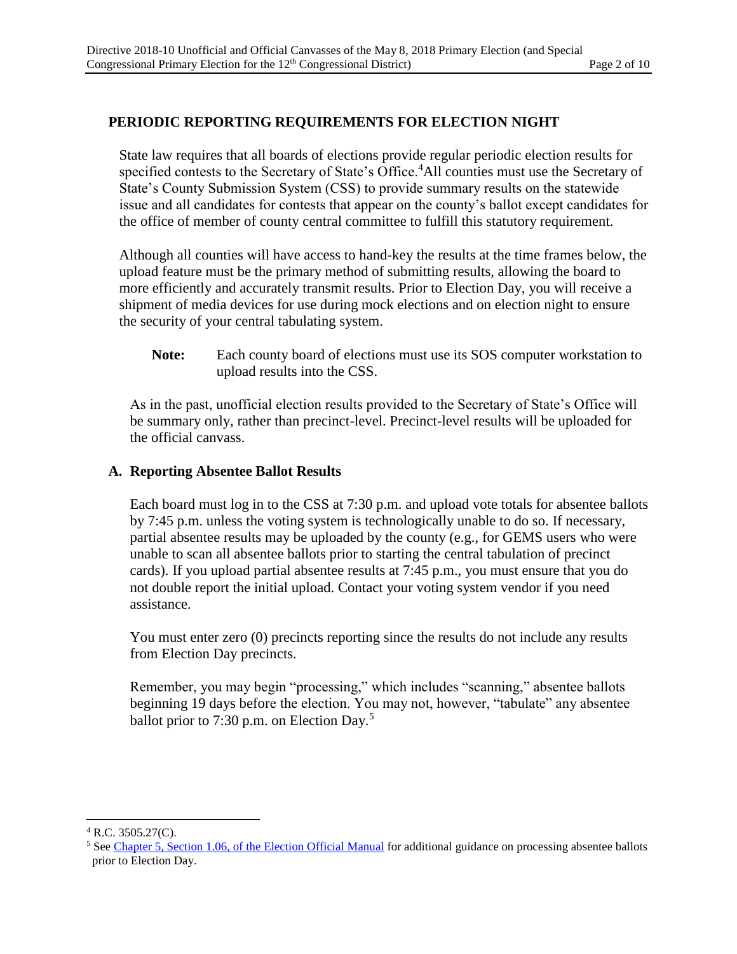# **PERIODIC REPORTING REQUIREMENTS FOR ELECTION NIGHT**

State law requires that all boards of elections provide regular periodic election results for specified contests to the Secretary of State's Office.<sup>4</sup>All counties must use the Secretary of State's County Submission System (CSS) to provide summary results on the statewide issue and all candidates for contests that appear on the county's ballot except candidates for the office of member of county central committee to fulfill this statutory requirement.

Although all counties will have access to hand-key the results at the time frames below, the upload feature must be the primary method of submitting results, allowing the board to more efficiently and accurately transmit results. Prior to Election Day, you will receive a shipment of media devices for use during mock elections and on election night to ensure the security of your central tabulating system.

**Note:** Each county board of elections must use its SOS computer workstation to upload results into the CSS.

As in the past, unofficial election results provided to the Secretary of State's Office will be summary only, rather than precinct-level. Precinct-level results will be uploaded for the official canvass.

#### **A. Reporting Absentee Ballot Results**

Each board must log in to the CSS at 7:30 p.m. and upload vote totals for absentee ballots by 7:45 p.m. unless the voting system is technologically unable to do so. If necessary, partial absentee results may be uploaded by the county (e.g., for GEMS users who were unable to scan all absentee ballots prior to starting the central tabulation of precinct cards). If you upload partial absentee results at 7:45 p.m., you must ensure that you do not double report the initial upload. Contact your voting system vendor if you need assistance.

You must enter zero (0) precincts reporting since the results do not include any results from Election Day precincts.

Remember, you may begin "processing," which includes "scanning," absentee ballots beginning 19 days before the election. You may not, however, "tabulate" any absentee ballot prior to 7:30 p.m. on Election Day.<sup>5</sup>

 $\overline{\phantom{a}}$ 

 $4$  R.C. 3505.27(C).

<sup>&</sup>lt;sup>5</sup> Se[e Chapter 5, Section 1.06, of the Election Official Manual](https://www.sos.state.oh.us/globalassets/elections/directives/2017/dir2017-02_eom-ch-05.pdf) for additional guidance on processing absentee ballots prior to Election Day.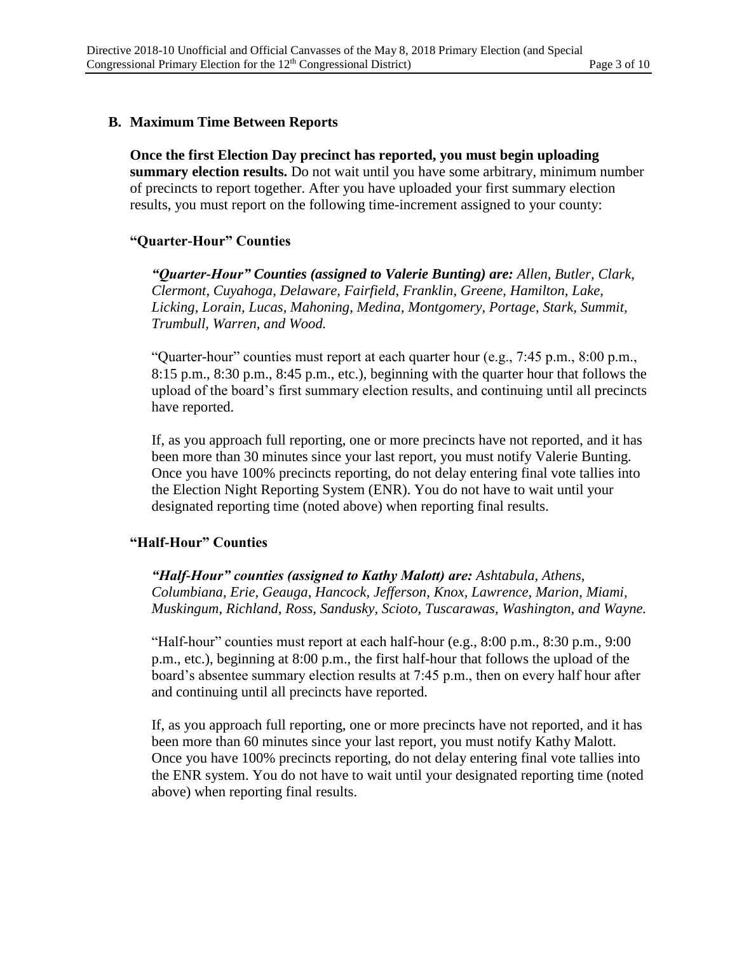#### **B. Maximum Time Between Reports**

**Once the first Election Day precinct has reported, you must begin uploading summary election results.** Do not wait until you have some arbitrary, minimum number of precincts to report together. After you have uploaded your first summary election results, you must report on the following time-increment assigned to your county:

#### **"Quarter-Hour" Counties**

*"Quarter-Hour" Counties (assigned to Valerie Bunting) are: Allen, Butler, Clark, Clermont, Cuyahoga, Delaware, Fairfield, Franklin, Greene, Hamilton, Lake, Licking, Lorain, Lucas, Mahoning, Medina, Montgomery, Portage, Stark, Summit, Trumbull, Warren, and Wood.*

"Quarter-hour" counties must report at each quarter hour (e.g., 7:45 p.m., 8:00 p.m., 8:15 p.m., 8:30 p.m., 8:45 p.m., etc.), beginning with the quarter hour that follows the upload of the board's first summary election results, and continuing until all precincts have reported.

If, as you approach full reporting, one or more precincts have not reported, and it has been more than 30 minutes since your last report, you must notify Valerie Bunting. Once you have 100% precincts reporting, do not delay entering final vote tallies into the Election Night Reporting System (ENR). You do not have to wait until your designated reporting time (noted above) when reporting final results.

#### **"Half-Hour" Counties**

*"Half-Hour" counties (assigned to Kathy Malott) are: Ashtabula, Athens, Columbiana, Erie, Geauga, Hancock, Jefferson, Knox, Lawrence, Marion, Miami, Muskingum, Richland, Ross, Sandusky, Scioto, Tuscarawas, Washington, and Wayne.*

"Half-hour" counties must report at each half-hour (e.g., 8:00 p.m., 8:30 p.m., 9:00 p.m., etc.), beginning at 8:00 p.m., the first half-hour that follows the upload of the board's absentee summary election results at 7:45 p.m., then on every half hour after and continuing until all precincts have reported.

If, as you approach full reporting, one or more precincts have not reported, and it has been more than 60 minutes since your last report, you must notify Kathy Malott. Once you have 100% precincts reporting, do not delay entering final vote tallies into the ENR system. You do not have to wait until your designated reporting time (noted above) when reporting final results.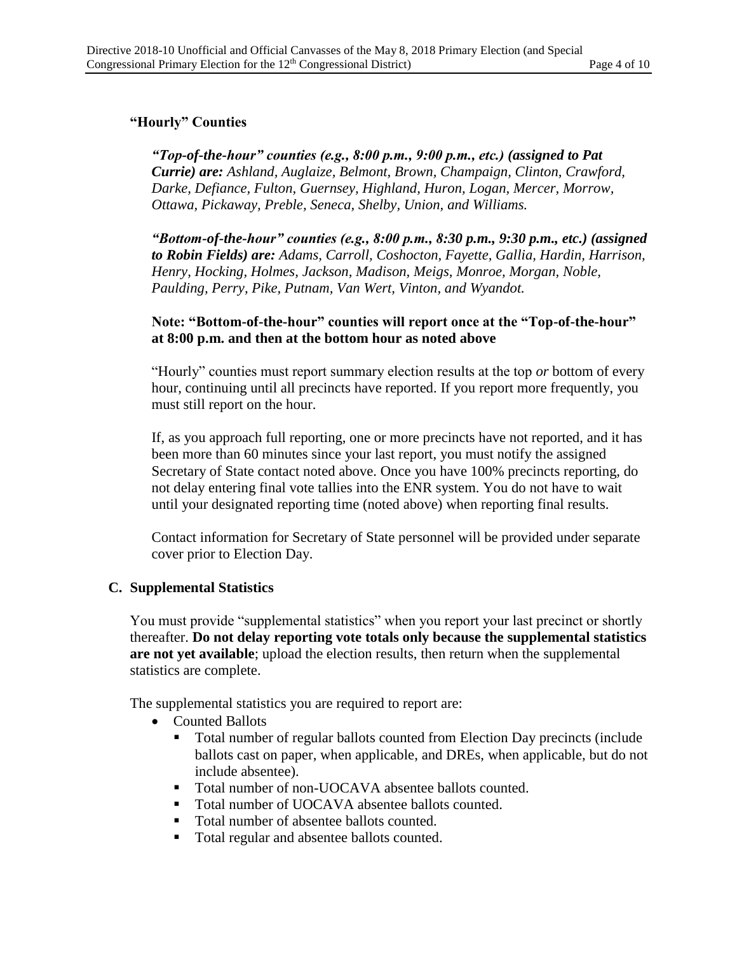# **"Hourly" Counties**

*"Top-of-the-hour" counties (e.g., 8:00 p.m., 9:00 p.m., etc.) (assigned to Pat Currie) are: Ashland, Auglaize, Belmont, Brown, Champaign, Clinton, Crawford, Darke, Defiance, Fulton, Guernsey, Highland, Huron, Logan, Mercer, Morrow, Ottawa, Pickaway, Preble, Seneca, Shelby, Union, and Williams.*

*"Bottom-of-the-hour" counties (e.g., 8:00 p.m., 8:30 p.m., 9:30 p.m., etc.) (assigned to Robin Fields) are: Adams, Carroll, Coshocton, Fayette, Gallia, Hardin, Harrison, Henry, Hocking, Holmes, Jackson, Madison, Meigs, Monroe, Morgan, Noble, Paulding, Perry, Pike, Putnam, Van Wert, Vinton, and Wyandot.*

#### **Note: "Bottom-of-the-hour" counties will report once at the "Top-of-the-hour" at 8:00 p.m. and then at the bottom hour as noted above**

"Hourly" counties must report summary election results at the top *or* bottom of every hour, continuing until all precincts have reported. If you report more frequently, you must still report on the hour.

If, as you approach full reporting, one or more precincts have not reported, and it has been more than 60 minutes since your last report, you must notify the assigned Secretary of State contact noted above. Once you have 100% precincts reporting, do not delay entering final vote tallies into the ENR system. You do not have to wait until your designated reporting time (noted above) when reporting final results.

Contact information for Secretary of State personnel will be provided under separate cover prior to Election Day.

#### **C. Supplemental Statistics**

You must provide "supplemental statistics" when you report your last precinct or shortly thereafter. **Do not delay reporting vote totals only because the supplemental statistics are not yet available**; upload the election results, then return when the supplemental statistics are complete.

The supplemental statistics you are required to report are:

- Counted Ballots
	- Total number of regular ballots counted from Election Day precincts (include ballots cast on paper, when applicable, and DREs, when applicable, but do not include absentee).
	- Total number of non-UOCAVA absentee ballots counted.
	- Total number of UOCAVA absentee ballots counted.
	- Total number of absentee ballots counted.
	- Total regular and absentee ballots counted.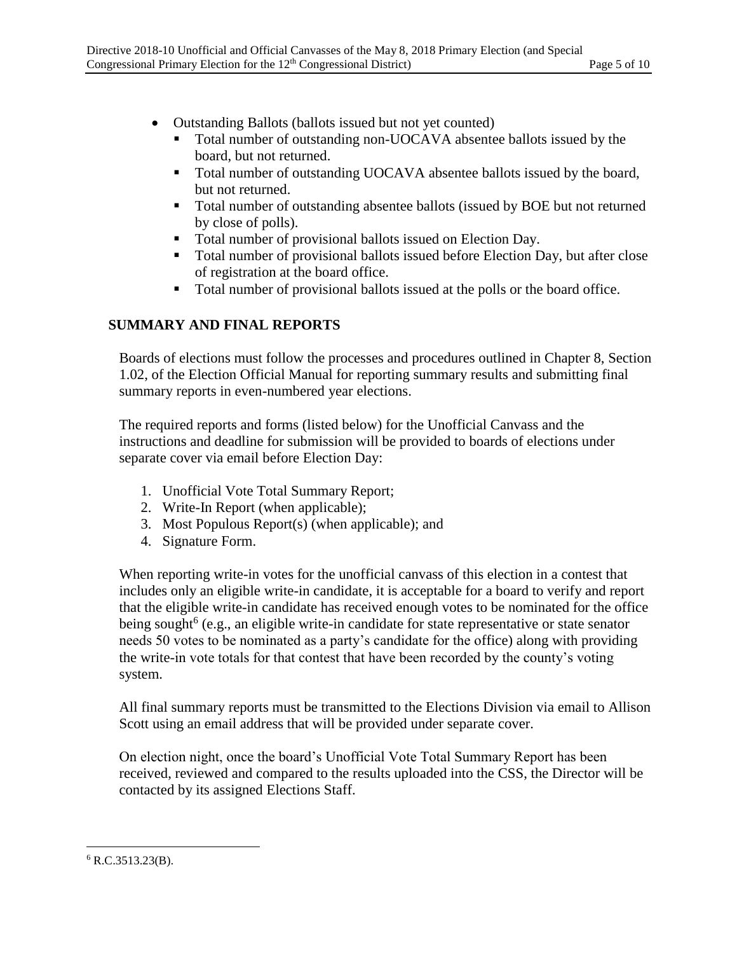- Outstanding Ballots (ballots issued but not yet counted)
	- Total number of outstanding non-UOCAVA absentee ballots issued by the board, but not returned.
	- Total number of outstanding UOCAVA absentee ballots issued by the board, but not returned.
	- Total number of outstanding absentee ballots (issued by BOE but not returned by close of polls).
	- Total number of provisional ballots issued on Election Day.
	- Total number of provisional ballots issued before Election Day, but after close of registration at the board office.
	- Total number of provisional ballots issued at the polls or the board office.

### **SUMMARY AND FINAL REPORTS**

Boards of elections must follow the processes and procedures outlined in Chapter 8, Section 1.02, of the Election Official Manual for reporting summary results and submitting final summary reports in even-numbered year elections.

The required reports and forms (listed below) for the Unofficial Canvass and the instructions and deadline for submission will be provided to boards of elections under separate cover via email before Election Day:

- 1. Unofficial Vote Total Summary Report;
- 2. Write-In Report (when applicable);
- 3. Most Populous Report(s) (when applicable); and
- 4. Signature Form.

When reporting write-in votes for the unofficial canvass of this election in a contest that includes only an eligible write-in candidate, it is acceptable for a board to verify and report that the eligible write-in candidate has received enough votes to be nominated for the office being sought<sup>6</sup> (e.g., an eligible write-in candidate for state representative or state senator needs 50 votes to be nominated as a party's candidate for the office) along with providing the write-in vote totals for that contest that have been recorded by the county's voting system.

All final summary reports must be transmitted to the Elections Division via email to Allison Scott using an email address that will be provided under separate cover.

On election night, once the board's Unofficial Vote Total Summary Report has been received, reviewed and compared to the results uploaded into the CSS, the Director will be contacted by its assigned Elections Staff.

 $\overline{\phantom{a}}$  $6$  R.C.3513.23(B).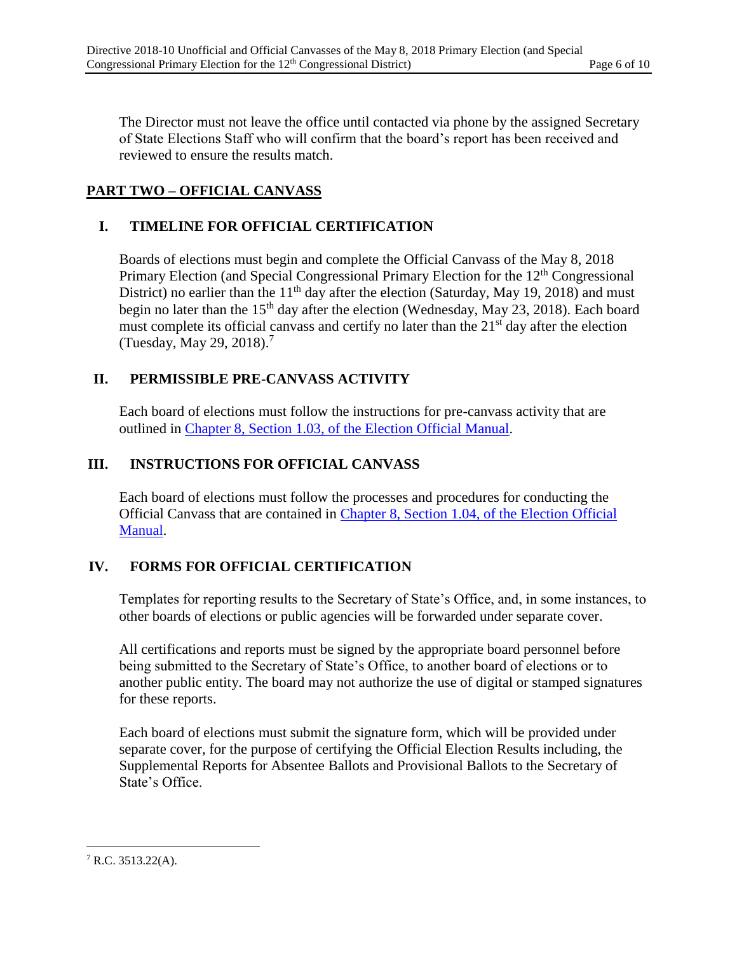The Director must not leave the office until contacted via phone by the assigned Secretary of State Elections Staff who will confirm that the board's report has been received and reviewed to ensure the results match.

# **PART TWO – OFFICIAL CANVASS**

# **I. TIMELINE FOR OFFICIAL CERTIFICATION**

Boards of elections must begin and complete the Official Canvass of the May 8, 2018 Primary Election (and Special Congressional Primary Election for the 12<sup>th</sup> Congressional District) no earlier than the  $11<sup>th</sup>$  day after the election (Saturday, May 19, 2018) and must begin no later than the  $15<sup>th</sup>$  day after the election (Wednesday, May 23, 2018). Each board must complete its official canvass and certify no later than the  $21<sup>st</sup>$  day after the election (Tuesday, May 29, 2018).<sup>7</sup>

### **II. PERMISSIBLE PRE-CANVASS ACTIVITY**

Each board of elections must follow the instructions for pre-canvass activity that are outlined in [Chapter 8, Section 1.03, of the Election Official Manual.](https://www.sos.state.oh.us/globalassets/elections/directives/2017/dir2017-13_eom_ch_08.pdf)

### **III. INSTRUCTIONS FOR OFFICIAL CANVASS**

Each board of elections must follow the processes and procedures for conducting the Official Canvass that are contained in [Chapter 8, Section 1.04, of the Election Official](https://www.sos.state.oh.us/globalassets/elections/directives/2017/dir2017-13_eom_ch_08.pdf) [Manual.](https://www.sos.state.oh.us/globalassets/elections/directives/2017/dir2017-13_eom_ch_08.pdf)

### **IV. FORMS FOR OFFICIAL CERTIFICATION**

Templates for reporting results to the Secretary of State's Office, and, in some instances, to other boards of elections or public agencies will be forwarded under separate cover.

All certifications and reports must be signed by the appropriate board personnel before being submitted to the Secretary of State's Office, to another board of elections or to another public entity. The board may not authorize the use of digital or stamped signatures for these reports.

Each board of elections must submit the signature form, which will be provided under separate cover, for the purpose of certifying the Official Election Results including, the Supplemental Reports for Absentee Ballots and Provisional Ballots to the Secretary of State's Office.

 $\overline{\phantom{a}}$  $7$  R.C. 3513.22(A).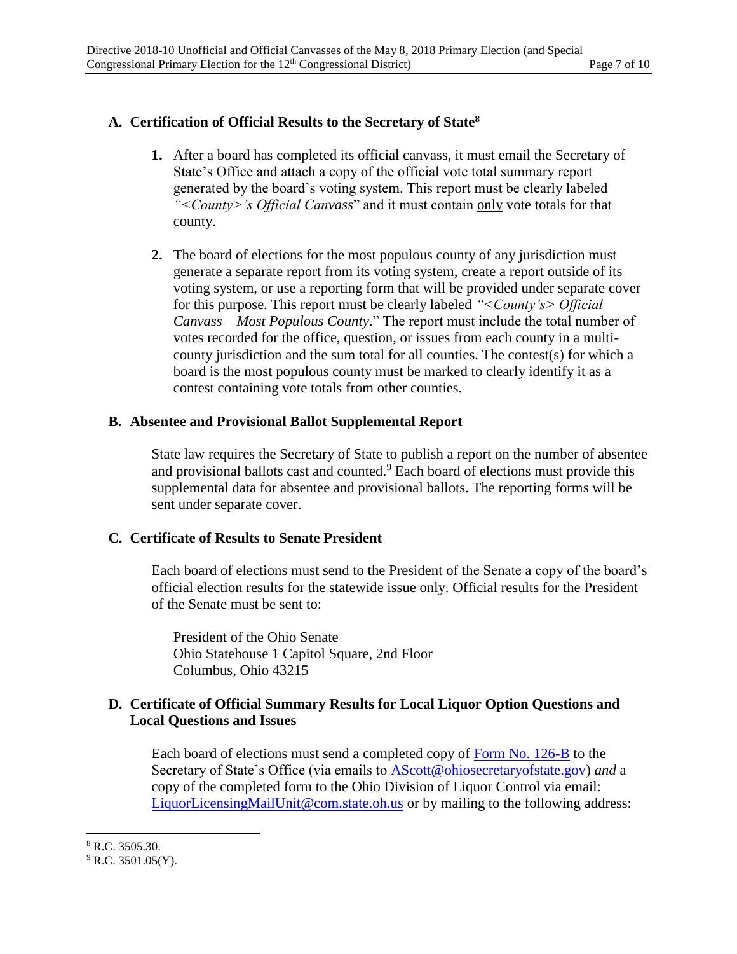#### **A. Certification of Official Results to the Secretary of State<sup>8</sup>**

- **1.** After a board has completed its official canvass, it must email the Secretary of State's Office and attach a copy of the official vote total summary report generated by the board's voting system. This report must be clearly labeled *"<County>'s Official Canvass*" and it must contain only vote totals for that county.
- **2.** The board of elections for the most populous county of any jurisdiction must generate a separate report from its voting system, create a report outside of its voting system, or use a reporting form that will be provided under separate cover for this purpose. This report must be clearly labeled *"<County's> Official Canvass – Most Populous County*." The report must include the total number of votes recorded for the office, question, or issues from each county in a multicounty jurisdiction and the sum total for all counties. The contest(s) for which a board is the most populous county must be marked to clearly identify it as a contest containing vote totals from other counties.

#### **B. Absentee and Provisional Ballot Supplemental Report**

State law requires the Secretary of State to publish a report on the number of absentee and provisional ballots cast and counted.<sup>9</sup> Each board of elections must provide this supplemental data for absentee and provisional ballots. The reporting forms will be sent under separate cover.

#### **C. Certificate of Results to Senate President**

Each board of elections must send to the President of the Senate a copy of the board's official election results for the statewide issue only. Official results for the President of the Senate must be sent to:

President of the Ohio Senate Ohio Statehouse 1 Capitol Square, 2nd Floor Columbus, Ohio 43215

#### **D. Certificate of Official Summary Results for Local Liquor Option Questions and Local Questions and Issues**

Each board of elections must send a completed copy of [Form No. 126-B](https://www.sos.state.oh.us/elections/elections-officials/forms-petitions/) to the Secretary of State's Office (via emails to [AScott@ohiosecretaryofstate.gov\)](mailto:AScott@ohiosecretaryofstate.gov) *and* a copy of the completed form to the Ohio Division of Liquor Control via email: [LiquorLicensingMailUnit@com.state.oh.us](mailto:LiquorLicensingMailUnit@com.state.oh.us) or by mailing to the following address:

 $\overline{a}$ 

<sup>8</sup> R.C. 3505.30.

 $9$  R.C. 3501.05(Y).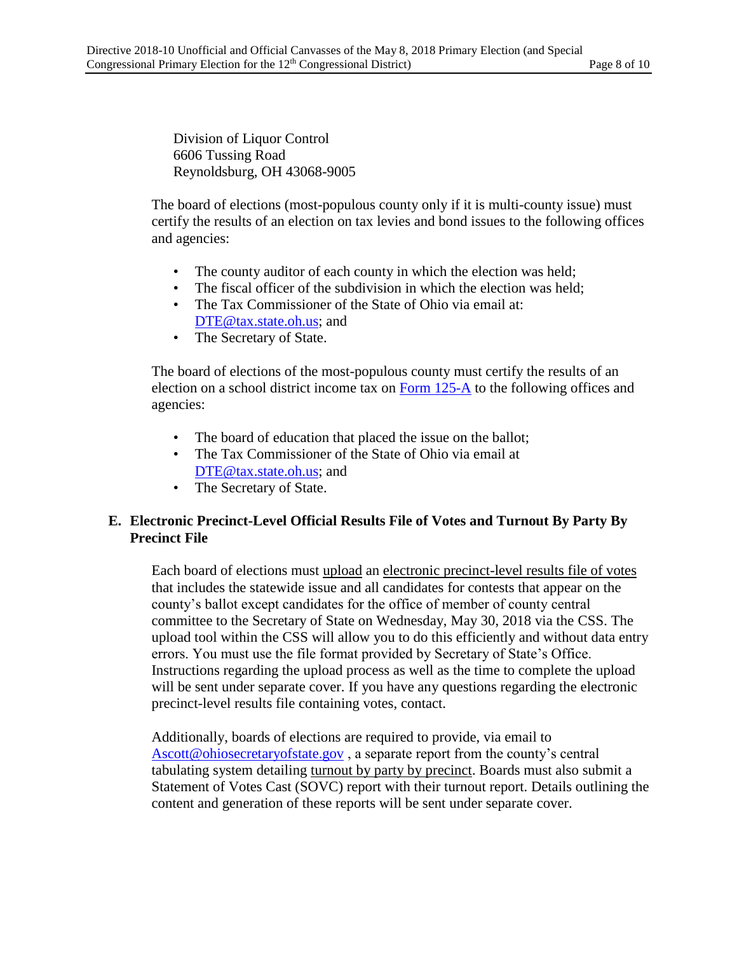Division of Liquor Control 6606 Tussing Road Reynoldsburg, OH 43068-9005

The board of elections (most-populous county only if it is multi-county issue) must certify the results of an election on tax levies and bond issues to the following offices and agencies:

- The county auditor of each county in which the election was held;
- The fiscal officer of the subdivision in which the election was held;
- The Tax Commissioner of the State of Ohio via email at: [DTE@tax.state.oh.us;](mailto:DTE@tax.state.oh.us) and
- The Secretary of State.

The board of elections of the most-populous county must certify the results of an election on a school district income tax on [Form 125-A](https://www.sos.state.oh.us/globalassets/elections/forms/125-a.pdf) to the following offices and agencies:

- The board of education that placed the issue on the ballot;
- The Tax Commissioner of the State of Ohio via email at [DTE@tax.state.oh.us;](mailto:DTE@tax.state.oh.us) and
- The Secretary of State.

#### **E. Electronic Precinct-Level Official Results File of Votes and Turnout By Party By Precinct File**

Each board of elections must upload an electronic precinct-level results file of votes that includes the statewide issue and all candidates for contests that appear on the county's ballot except candidates for the office of member of county central committee to the Secretary of State on Wednesday, May 30, 2018 via the CSS. The upload tool within the CSS will allow you to do this efficiently and without data entry errors. You must use the file format provided by Secretary of State's Office. Instructions regarding the upload process as well as the time to complete the upload will be sent under separate cover. If you have any questions regarding the electronic precinct-level results file containing votes, contact.

Additionally, boards of elections are required to provide, via email to [Ascott@ohiosecretaryofstate.gov](mailto:Ascott@ohiosecretaryofstate.gov) , a separate report from the county's central tabulating system detailing turnout by party by precinct. Boards must also submit a Statement of Votes Cast (SOVC) report with their turnout report. Details outlining the content and generation of these reports will be sent under separate cover.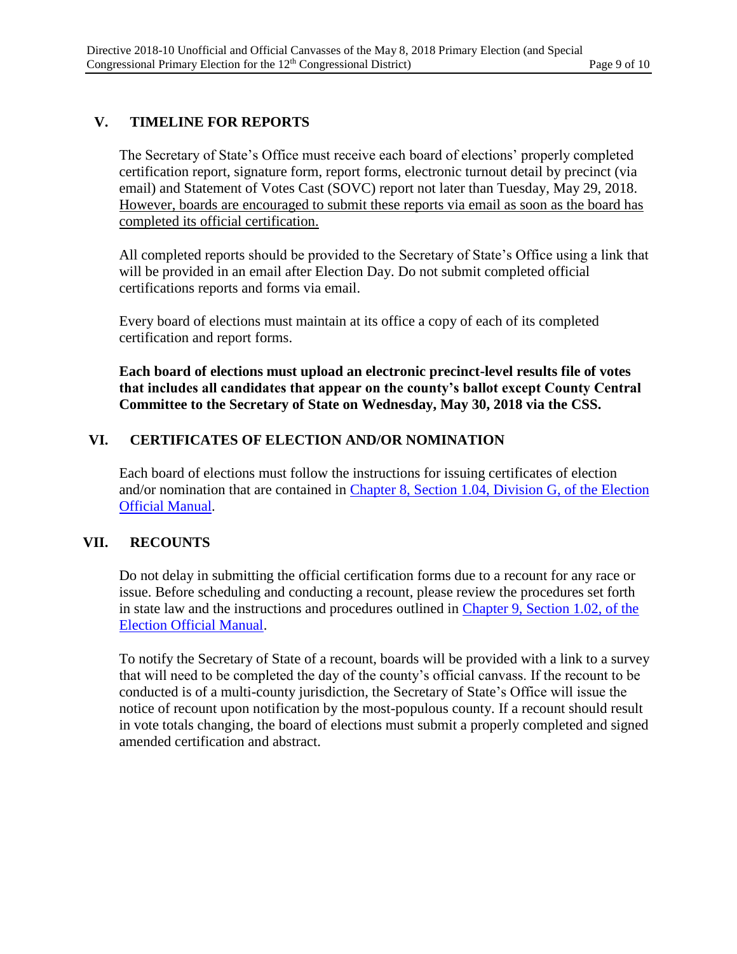# **V. TIMELINE FOR REPORTS**

The Secretary of State's Office must receive each board of elections' properly completed certification report, signature form, report forms, electronic turnout detail by precinct (via email) and Statement of Votes Cast (SOVC) report not later than Tuesday, May 29, 2018. However, boards are encouraged to submit these reports via email as soon as the board has completed its official certification.

All completed reports should be provided to the Secretary of State's Office using a link that will be provided in an email after Election Day. Do not submit completed official certifications reports and forms via email.

Every board of elections must maintain at its office a copy of each of its completed certification and report forms.

**Each board of elections must upload an electronic precinct-level results file of votes that includes all candidates that appear on the county's ballot except County Central Committee to the Secretary of State on Wednesday, May 30, 2018 via the CSS.**

### **VI. CERTIFICATES OF ELECTION AND/OR NOMINATION**

Each board of elections must follow the instructions for issuing certificates of election and/or nomination that are contained in [Chapter 8, Section 1.04, Division G, of the Election](https://www.sos.state.oh.us/globalassets/elections/directives/2017/dir2017-13_eom_ch_08.pdf)  [Official Manual.](https://www.sos.state.oh.us/globalassets/elections/directives/2017/dir2017-13_eom_ch_08.pdf)

### **VII. RECOUNTS**

Do not delay in submitting the official certification forms due to a recount for any race or issue. Before scheduling and conducting a recount, please review the procedures set forth in state law and the instructions and procedures outlined in [Chapter 9, Section 1.02, of the](https://www.sos.state.oh.us/globalassets/elections/directives/2017/dir2017-14_eom_ch_09.pdf)  [Election Official Manual.](https://www.sos.state.oh.us/globalassets/elections/directives/2017/dir2017-14_eom_ch_09.pdf)

To notify the Secretary of State of a recount, boards will be provided with a link to a survey that will need to be completed the day of the county's official canvass. If the recount to be conducted is of a multi-county jurisdiction, the Secretary of State's Office will issue the notice of recount upon notification by the most-populous county. If a recount should result in vote totals changing, the board of elections must submit a properly completed and signed amended certification and abstract.